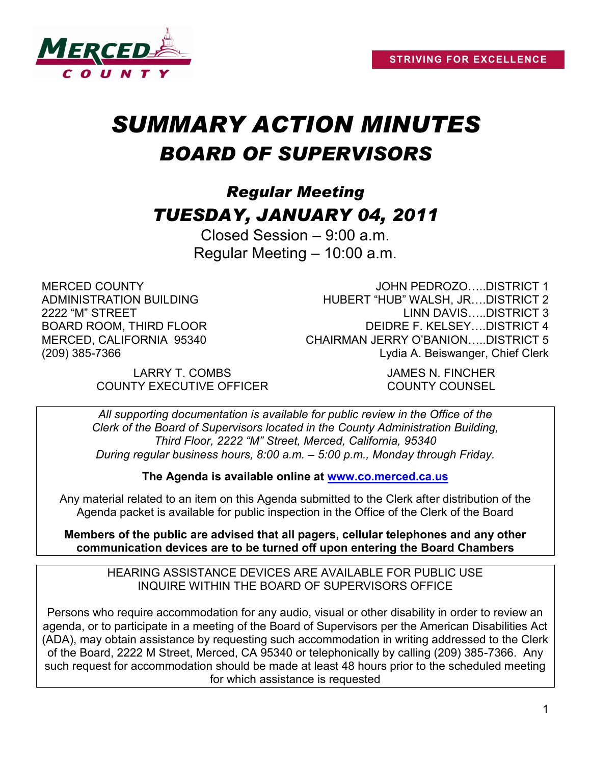

# *SUMMARY ACTION MINUTES BOARD OF SUPERVISORS*

# *Regular Meeting TUESDAY, JANUARY 04, 2011*

Closed Session – 9:00 a.m. Regular Meeting – 10:00 a.m.

MERCED COUNTY ADMINISTRATION BUILDING 2222 "M" STREET BOARD ROOM, THIRD FLOOR MERCED, CALIFORNIA 95340 (209) 385-7366

JOHN PEDROZO…..DISTRICT 1 HUBERT "HUB" WALSH, JR….DISTRICT 2 LINN DAVIS…..DISTRICT 3 DEIDRE F. KELSEY….DISTRICT 4 CHAIRMAN JERRY O'BANION…..DISTRICT 5 Lydia A. Beiswanger, Chief Clerk

LARRY T. COMBS JAMES N. FINCHER COUNTY EXECUTIVE OFFICER COUNTY COUNSEL

*All supporting documentation is available for public review in the Office of the Clerk of the Board of Supervisors located in the County Administration Building, Third Floor, 2222 "M" Street, Merced, California, 95340 During regular business hours, 8:00 a.m. – 5:00 p.m., Monday through Friday.*

**The Agenda is available online at [www.co.merced.ca.us](http://www.co.merced.ca.us/)**

Any material related to an item on this Agenda submitted to the Clerk after distribution of the Agenda packet is available for public inspection in the Office of the Clerk of the Board

**Members of the public are advised that all pagers, cellular telephones and any other communication devices are to be turned off upon entering the Board Chambers**

HEARING ASSISTANCE DEVICES ARE AVAILABLE FOR PUBLIC USE INQUIRE WITHIN THE BOARD OF SUPERVISORS OFFICE

Persons who require accommodation for any audio, visual or other disability in order to review an agenda, or to participate in a meeting of the Board of Supervisors per the American Disabilities Act (ADA), may obtain assistance by requesting such accommodation in writing addressed to the Clerk of the Board, 2222 M Street, Merced, CA 95340 or telephonically by calling (209) 385-7366. Any such request for accommodation should be made at least 48 hours prior to the scheduled meeting for which assistance is requested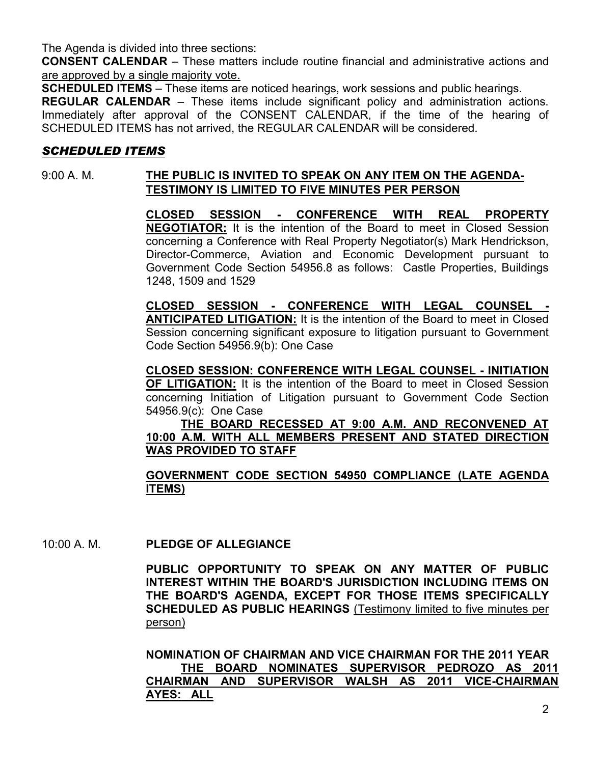The Agenda is divided into three sections:

**CONSENT CALENDAR** – These matters include routine financial and administrative actions and are approved by a single majority vote.

**SCHEDULED ITEMS** – These items are noticed hearings, work sessions and public hearings.

**REGULAR CALENDAR** – These items include significant policy and administration actions. Immediately after approval of the CONSENT CALENDAR, if the time of the hearing of SCHEDULED ITEMS has not arrived, the REGULAR CALENDAR will be considered.

# *SCHEDULED ITEMS*

# 9:00 A. M. **THE PUBLIC IS INVITED TO SPEAK ON ANY ITEM ON THE AGENDA-TESTIMONY IS LIMITED TO FIVE MINUTES PER PERSON**

**CLOSED SESSION - CONFERENCE WITH REAL PROPERTY NEGOTIATOR:** It is the intention of the Board to meet in Closed Session concerning a Conference with Real Property Negotiator(s) Mark Hendrickson, Director-Commerce, Aviation and Economic Development pursuant to Government Code Section 54956.8 as follows: Castle Properties, Buildings 1248, 1509 and 1529

**CLOSED SESSION - CONFERENCE WITH LEGAL COUNSEL - ANTICIPATED LITIGATION:** It is the intention of the Board to meet in Closed Session concerning significant exposure to litigation pursuant to Government Code Section 54956.9(b): One Case

**CLOSED SESSION: CONFERENCE WITH LEGAL COUNSEL - INITIATION OF LITIGATION:** It is the intention of the Board to meet in Closed Session concerning Initiation of Litigation pursuant to Government Code Section 54956.9(c): One Case

**THE BOARD RECESSED AT 9:00 A.M. AND RECONVENED AT 10:00 A.M. WITH ALL MEMBERS PRESENT AND STATED DIRECTION WAS PROVIDED TO STAFF** 

# **GOVERNMENT CODE SECTION 54950 COMPLIANCE (LATE AGENDA ITEMS)**

10:00 A. M. **PLEDGE OF ALLEGIANCE**

**PUBLIC OPPORTUNITY TO SPEAK ON ANY MATTER OF PUBLIC INTEREST WITHIN THE BOARD'S JURISDICTION INCLUDING ITEMS ON THE BOARD'S AGENDA, EXCEPT FOR THOSE ITEMS SPECIFICALLY SCHEDULED AS PUBLIC HEARINGS** (Testimony limited to five minutes per person)

**NOMINATION OF CHAIRMAN AND VICE CHAIRMAN FOR THE 2011 YEAR THE BOARD NOMINATES SUPERVISOR PEDROZO AS 2011 CHAIRMAN AND SUPERVISOR WALSH AS 2011 VICE-CHAIRMAN AYES: ALL**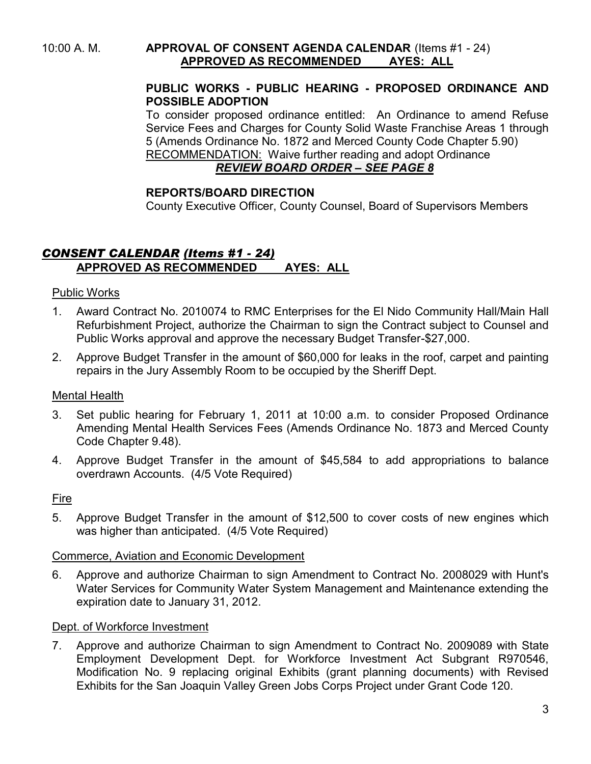10:00 A. M. **APPROVAL OF CONSENT AGENDA CALENDAR** (Items #1 - 24) **APPROVED AS RECOMMENDED AYES: ALL**

#### **PUBLIC WORKS - PUBLIC HEARING - PROPOSED ORDINANCE AND POSSIBLE ADOPTION**

To consider proposed ordinance entitled: An Ordinance to amend Refuse Service Fees and Charges for County Solid Waste Franchise Areas 1 through 5 (Amends Ordinance No. 1872 and Merced County Code Chapter 5.90) RECOMMENDATION: Waive further reading and adopt Ordinance

# *REVIEW BOARD ORDER – SEE PAGE 8*

# **REPORTS/BOARD DIRECTION**

County Executive Officer, County Counsel, Board of Supervisors Members

# *CONSENT CALENDAR (Items #1 - 24)* **APPROVED AS RECOMMENDED AYES: ALL**

#### Public Works

- 1. Award Contract No. 2010074 to RMC Enterprises for the El Nido Community Hall/Main Hall Refurbishment Project, authorize the Chairman to sign the Contract subject to Counsel and Public Works approval and approve the necessary Budget Transfer-\$27,000.
- 2. Approve Budget Transfer in the amount of \$60,000 for leaks in the roof, carpet and painting repairs in the Jury Assembly Room to be occupied by the Sheriff Dept.

#### Mental Health

- 3. Set public hearing for February 1, 2011 at 10:00 a.m. to consider Proposed Ordinance Amending Mental Health Services Fees (Amends Ordinance No. 1873 and Merced County Code Chapter 9.48).
- 4. Approve Budget Transfer in the amount of \$45,584 to add appropriations to balance overdrawn Accounts. (4/5 Vote Required)

#### Fire

5. Approve Budget Transfer in the amount of \$12,500 to cover costs of new engines which was higher than anticipated. (4/5 Vote Required)

#### Commerce, Aviation and Economic Development

6. Approve and authorize Chairman to sign Amendment to Contract No. 2008029 with Hunt's Water Services for Community Water System Management and Maintenance extending the expiration date to January 31, 2012.

#### Dept. of Workforce Investment

7. Approve and authorize Chairman to sign Amendment to Contract No. 2009089 with State Employment Development Dept. for Workforce Investment Act Subgrant R970546, Modification No. 9 replacing original Exhibits (grant planning documents) with Revised Exhibits for the San Joaquin Valley Green Jobs Corps Project under Grant Code 120.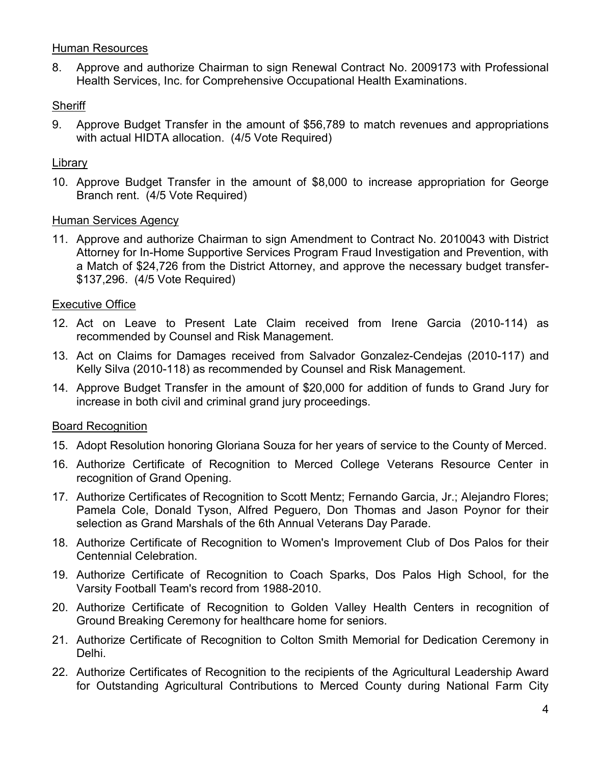#### Human Resources

8. Approve and authorize Chairman to sign Renewal Contract No. 2009173 with Professional Health Services, Inc. for Comprehensive Occupational Health Examinations.

#### **Sheriff**

9. Approve Budget Transfer in the amount of \$56,789 to match revenues and appropriations with actual HIDTA allocation. (4/5 Vote Required)

#### Library

10. Approve Budget Transfer in the amount of \$8,000 to increase appropriation for George Branch rent. (4/5 Vote Required)

#### Human Services Agency

11. Approve and authorize Chairman to sign Amendment to Contract No. 2010043 with District Attorney for In-Home Supportive Services Program Fraud Investigation and Prevention, with a Match of \$24,726 from the District Attorney, and approve the necessary budget transfer- \$137,296. (4/5 Vote Required)

#### Executive Office

- 12. Act on Leave to Present Late Claim received from Irene Garcia (2010-114) as recommended by Counsel and Risk Management.
- 13. Act on Claims for Damages received from Salvador Gonzalez-Cendejas (2010-117) and Kelly Silva (2010-118) as recommended by Counsel and Risk Management.
- 14. Approve Budget Transfer in the amount of \$20,000 for addition of funds to Grand Jury for increase in both civil and criminal grand jury proceedings.

# Board Recognition

- 15. Adopt Resolution honoring Gloriana Souza for her years of service to the County of Merced.
- 16. Authorize Certificate of Recognition to Merced College Veterans Resource Center in recognition of Grand Opening.
- 17. Authorize Certificates of Recognition to Scott Mentz; Fernando Garcia, Jr.; Alejandro Flores; Pamela Cole, Donald Tyson, Alfred Peguero, Don Thomas and Jason Poynor for their selection as Grand Marshals of the 6th Annual Veterans Day Parade.
- 18. Authorize Certificate of Recognition to Women's Improvement Club of Dos Palos for their Centennial Celebration.
- 19. Authorize Certificate of Recognition to Coach Sparks, Dos Palos High School, for the Varsity Football Team's record from 1988-2010.
- 20. Authorize Certificate of Recognition to Golden Valley Health Centers in recognition of Ground Breaking Ceremony for healthcare home for seniors.
- 21. Authorize Certificate of Recognition to Colton Smith Memorial for Dedication Ceremony in Delhi.
- 22. Authorize Certificates of Recognition to the recipients of the Agricultural Leadership Award for Outstanding Agricultural Contributions to Merced County during National Farm City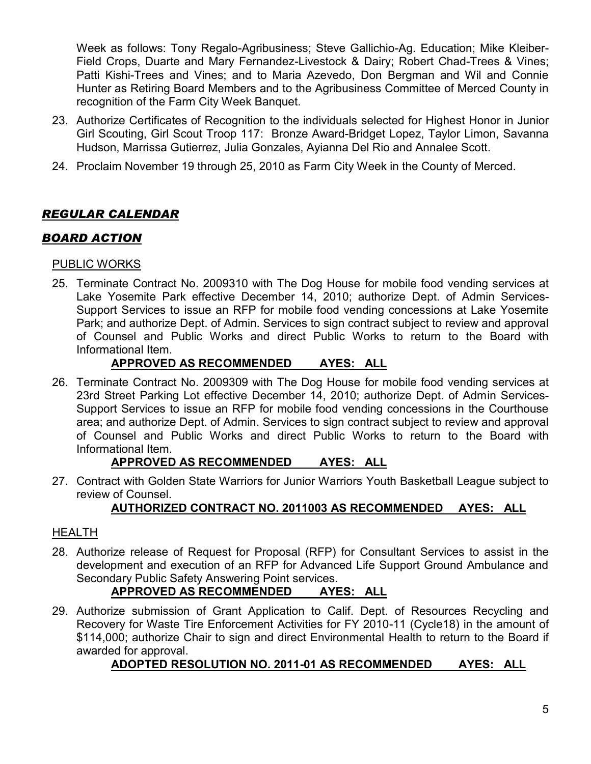Week as follows: Tony Regalo-Agribusiness; Steve Gallichio-Ag. Education; Mike Kleiber-Field Crops, Duarte and Mary Fernandez-Livestock & Dairy; Robert Chad-Trees & Vines; Patti Kishi-Trees and Vines; and to Maria Azevedo, Don Bergman and Wil and Connie Hunter as Retiring Board Members and to the Agribusiness Committee of Merced County in recognition of the Farm City Week Banquet.

- 23. Authorize Certificates of Recognition to the individuals selected for Highest Honor in Junior Girl Scouting, Girl Scout Troop 117: Bronze Award-Bridget Lopez, Taylor Limon, Savanna Hudson, Marrissa Gutierrez, Julia Gonzales, Ayianna Del Rio and Annalee Scott.
- 24. Proclaim November 19 through 25, 2010 as Farm City Week in the County of Merced.

# *REGULAR CALENDAR*

# *BOARD ACTION*

# PUBLIC WORKS

25. Terminate Contract No. 2009310 with The Dog House for mobile food vending services at Lake Yosemite Park effective December 14, 2010; authorize Dept. of Admin Services-Support Services to issue an RFP for mobile food vending concessions at Lake Yosemite Park; and authorize Dept. of Admin. Services to sign contract subject to review and approval of Counsel and Public Works and direct Public Works to return to the Board with Informational Item.

# **APPROVED AS RECOMMENDED AYES: ALL**

26. Terminate Contract No. 2009309 with The Dog House for mobile food vending services at 23rd Street Parking Lot effective December 14, 2010; authorize Dept. of Admin Services-Support Services to issue an RFP for mobile food vending concessions in the Courthouse area; and authorize Dept. of Admin. Services to sign contract subject to review and approval of Counsel and Public Works and direct Public Works to return to the Board with Informational Item.

# **APPROVED AS RECOMMENDED AYES: ALL**

27. Contract with Golden State Warriors for Junior Warriors Youth Basketball League subject to review of Counsel.

# **AUTHORIZED CONTRACT NO. 2011003 AS RECOMMENDED AYES: ALL**

#### **HEALTH**

28. Authorize release of Request for Proposal (RFP) for Consultant Services to assist in the development and execution of an RFP for Advanced Life Support Ground Ambulance and Secondary Public Safety Answering Point services.

# **APPROVED AS RECOMMENDED AYES: ALL**

29. Authorize submission of Grant Application to Calif. Dept. of Resources Recycling and Recovery for Waste Tire Enforcement Activities for FY 2010-11 (Cycle18) in the amount of \$114,000; authorize Chair to sign and direct Environmental Health to return to the Board if awarded for approval.

# **ADOPTED RESOLUTION NO. 2011-01 AS RECOMMENDED AYES: ALL**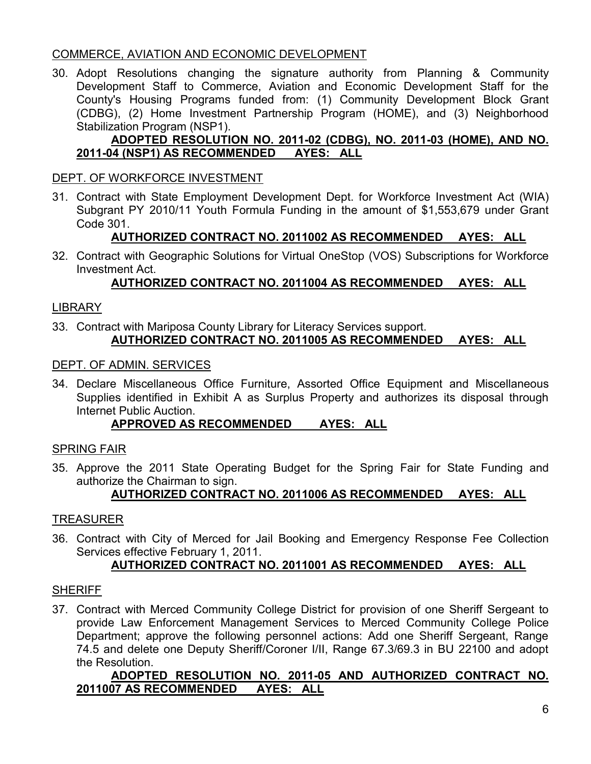# COMMERCE, AVIATION AND ECONOMIC DEVELOPMENT

30. Adopt Resolutions changing the signature authority from Planning & Community Development Staff to Commerce, Aviation and Economic Development Staff for the County's Housing Programs funded from: (1) Community Development Block Grant (CDBG), (2) Home Investment Partnership Program (HOME), and (3) Neighborhood Stabilization Program (NSP1).

# **ADOPTED RESOLUTION NO. 2011-02 (CDBG), NO. 2011-03 (HOME), AND NO. 2011-04 (NSP1) AS RECOMMENDED**

#### DEPT. OF WORKFORCE INVESTMENT

31. Contract with State Employment Development Dept. for Workforce Investment Act (WIA) Subgrant PY 2010/11 Youth Formula Funding in the amount of \$1,553,679 under Grant Code 301.

# **AUTHORIZED CONTRACT NO. 2011002 AS RECOMMENDED AYES: ALL**

32. Contract with Geographic Solutions for Virtual OneStop (VOS) Subscriptions for Workforce Investment Act.

# **AUTHORIZED CONTRACT NO. 2011004 AS RECOMMENDED AYES: ALL**

#### LIBRARY

33. Contract with Mariposa County Library for Literacy Services support. **AUTHORIZED CONTRACT NO. 2011005 AS RECOMMENDED AYES: ALL**

#### DEPT. OF ADMIN. SERVICES

34. Declare Miscellaneous Office Furniture, Assorted Office Equipment and Miscellaneous Supplies identified in Exhibit A as Surplus Property and authorizes its disposal through Internet Public Auction.

# **APPROVED AS RECOMMENDED AYES: ALL**

#### SPRING FAIR

35. Approve the 2011 State Operating Budget for the Spring Fair for State Funding and authorize the Chairman to sign.

#### **AUTHORIZED CONTRACT NO. 2011006 AS RECOMMENDED AYES: ALL**

#### TREASURER

36. Contract with City of Merced for Jail Booking and Emergency Response Fee Collection Services effective February 1, 2011.

#### **AUTHORIZED CONTRACT NO. 2011001 AS RECOMMENDED AYES: ALL**

#### **SHERIFF**

37. Contract with Merced Community College District for provision of one Sheriff Sergeant to provide Law Enforcement Management Services to Merced Community College Police Department; approve the following personnel actions: Add one Sheriff Sergeant, Range 74.5 and delete one Deputy Sheriff/Coroner I/II, Range 67.3/69.3 in BU 22100 and adopt the Resolution.

#### **ADOPTED RESOLUTION NO. 2011-05 AND AUTHORIZED CONTRACT NO. 2011007 AS RECOMMENDED AYES: ALL**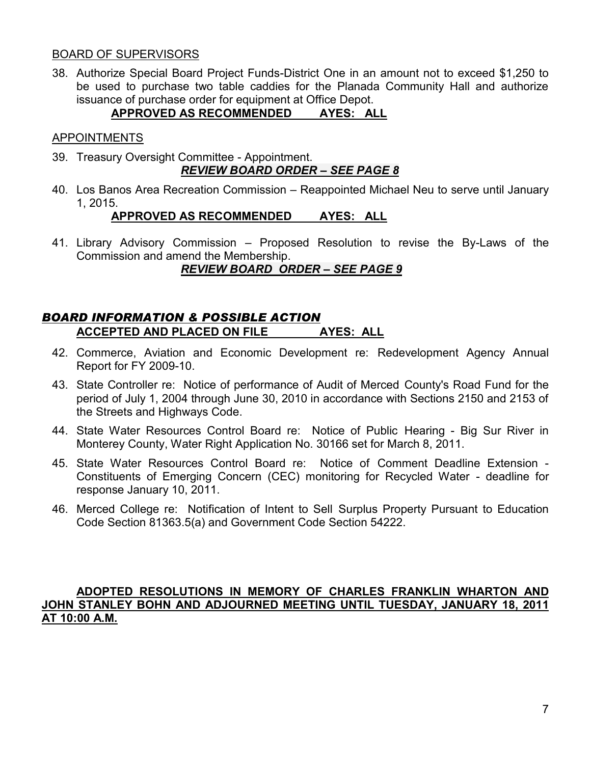#### BOARD OF SUPERVISORS

38. Authorize Special Board Project Funds-District One in an amount not to exceed \$1,250 to be used to purchase two table caddies for the Planada Community Hall and authorize issuance of purchase order for equipment at Office Depot.

# **APPROVED AS RECOMMENDED AYES: ALL**

#### APPOINTMENTS

- 39. Treasury Oversight Committee Appointment. *REVIEW BOARD ORDER – SEE PAGE 8*
- 40. Los Banos Area Recreation Commission Reappointed Michael Neu to serve until January 1, 2015.

# **APPROVED AS RECOMMENDED AYES: ALL**

41. Library Advisory Commission – Proposed Resolution to revise the By-Laws of the Commission and amend the Membership.

# *REVIEW BOARD ORDER – SEE PAGE 9*

# *BOARD INFORMATION & POSSIBLE ACTION* **ACCEPTED AND PLACED ON FILE AYES: ALL**

- 42. Commerce, Aviation and Economic Development re: Redevelopment Agency Annual Report for FY 2009-10.
- 43. State Controller re: Notice of performance of Audit of Merced County's Road Fund for the period of July 1, 2004 through June 30, 2010 in accordance with Sections 2150 and 2153 of the Streets and Highways Code.
- 44. State Water Resources Control Board re: Notice of Public Hearing Big Sur River in Monterey County, Water Right Application No. 30166 set for March 8, 2011.
- 45. State Water Resources Control Board re: Notice of Comment Deadline Extension Constituents of Emerging Concern (CEC) monitoring for Recycled Water - deadline for response January 10, 2011.
- 46. Merced College re: Notification of Intent to Sell Surplus Property Pursuant to Education Code Section 81363.5(a) and Government Code Section 54222.

#### **ADOPTED RESOLUTIONS IN MEMORY OF CHARLES FRANKLIN WHARTON AND JOHN STANLEY BOHN AND ADJOURNED MEETING UNTIL TUESDAY, JANUARY 18, 2011 AT 10:00 A.M.**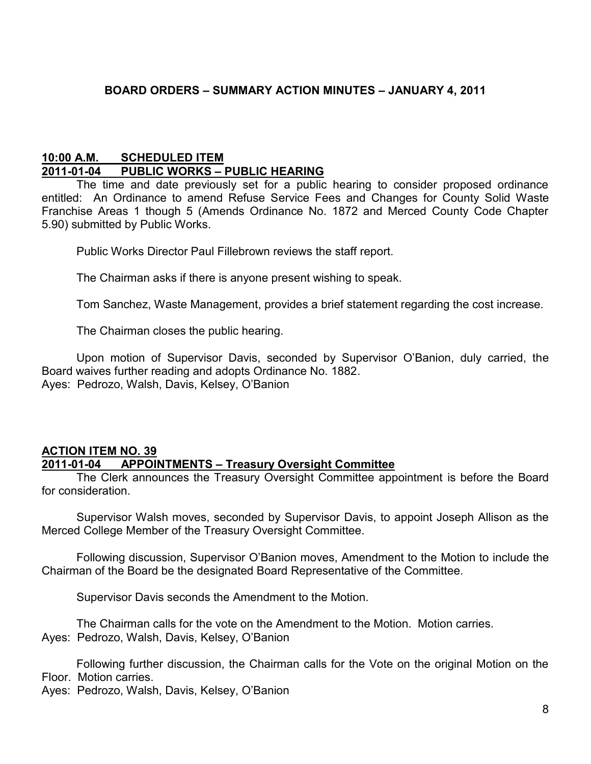# **BOARD ORDERS – SUMMARY ACTION MINUTES – JANUARY 4, 2011**

#### **10:00 A.M. SCHEDULED ITEM 2011-01-04 PUBLIC WORKS – PUBLIC HEARING**

The time and date previously set for a public hearing to consider proposed ordinance entitled: An Ordinance to amend Refuse Service Fees and Changes for County Solid Waste Franchise Areas 1 though 5 (Amends Ordinance No. 1872 and Merced County Code Chapter 5.90) submitted by Public Works.

Public Works Director Paul Fillebrown reviews the staff report.

The Chairman asks if there is anyone present wishing to speak.

Tom Sanchez, Waste Management, provides a brief statement regarding the cost increase.

The Chairman closes the public hearing.

Upon motion of Supervisor Davis, seconded by Supervisor O'Banion, duly carried, the Board waives further reading and adopts Ordinance No. 1882. Ayes: Pedrozo, Walsh, Davis, Kelsey, O'Banion

# **ACTION ITEM NO. 39 2011-01-04 APPOINTMENTS – Treasury Oversight Committee**

The Clerk announces the Treasury Oversight Committee appointment is before the Board for consideration.

Supervisor Walsh moves, seconded by Supervisor Davis, to appoint Joseph Allison as the Merced College Member of the Treasury Oversight Committee.

Following discussion, Supervisor O'Banion moves, Amendment to the Motion to include the Chairman of the Board be the designated Board Representative of the Committee.

Supervisor Davis seconds the Amendment to the Motion.

The Chairman calls for the vote on the Amendment to the Motion. Motion carries. Ayes: Pedrozo, Walsh, Davis, Kelsey, O'Banion

Following further discussion, the Chairman calls for the Vote on the original Motion on the Floor. Motion carries.

Ayes: Pedrozo, Walsh, Davis, Kelsey, O'Banion